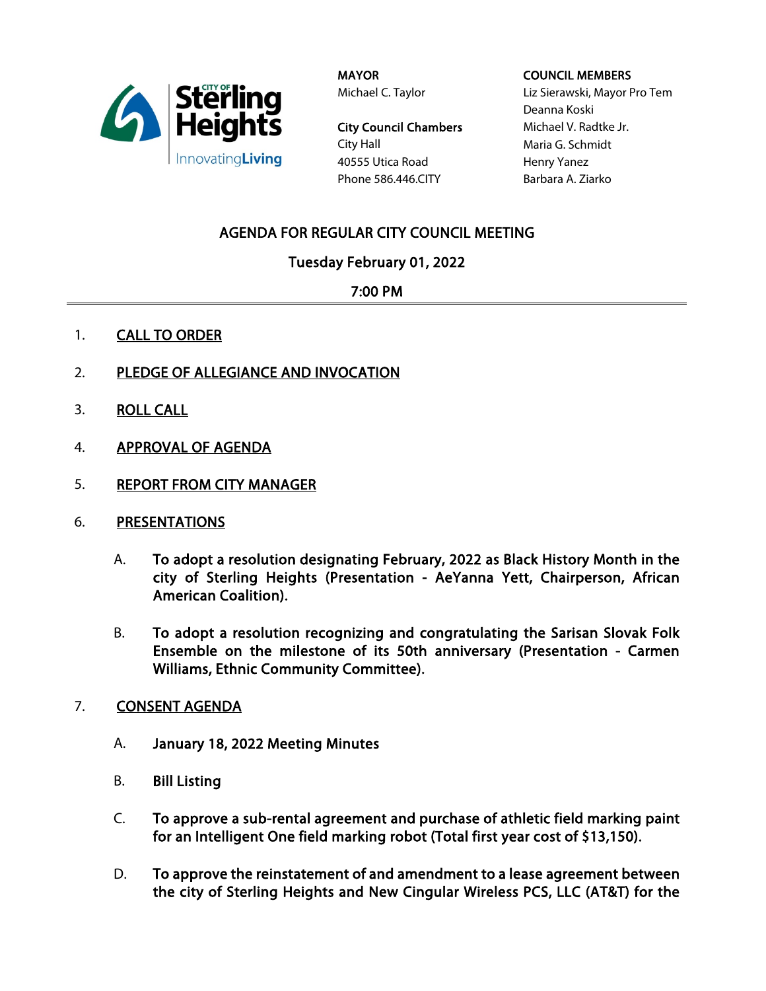

MAYOR Michael C. Taylor

City Council Chambers City Hall 40555 Utica Road Phone 586.446.CITY

### COUNCIL MEMBERS

Liz Sierawski, Mayor Pro Tem Deanna Koski Michael V. Radtke Jr. Maria G. Schmidt Henry Yanez Barbara A. Ziarko

# AGENDA FOR REGULAR CITY COUNCIL MEETING

Tuesday February 01, 2022

## 7:00 PM

- 1. CALL TO ORDER
- 2. PLEDGE OF ALLEGIANCE AND INVOCATION
- 3. ROLL CALL
- 4. APPROVAL OF AGENDA
- 5. REPORT FROM CITY MANAGER
- 6. PRESENTATIONS
	- A. To adopt a resolution designating February, 2022 as Black History Month in the city of Sterling Heights (Presentation - AeYanna Yett, Chairperson, African American Coalition).
	- B. To adopt a resolution recognizing and congratulating the Sarisan Slovak Folk Ensemble on the milestone of its 50th anniversary (Presentation - Carmen Williams, Ethnic Community Committee).
- 7. CONSENT AGENDA
	- A. January 18, 2022 Meeting Minutes
	- B. Bill Listing
	- C. To approve a sub-rental agreement and purchase of athletic field marking paint for an Intelligent One field marking robot (Total first year cost of \$13,150).
	- D. To approve the reinstatement of and amendment to a lease agreement between the city of Sterling Heights and New Cingular Wireless PCS, LLC (AT&T) for the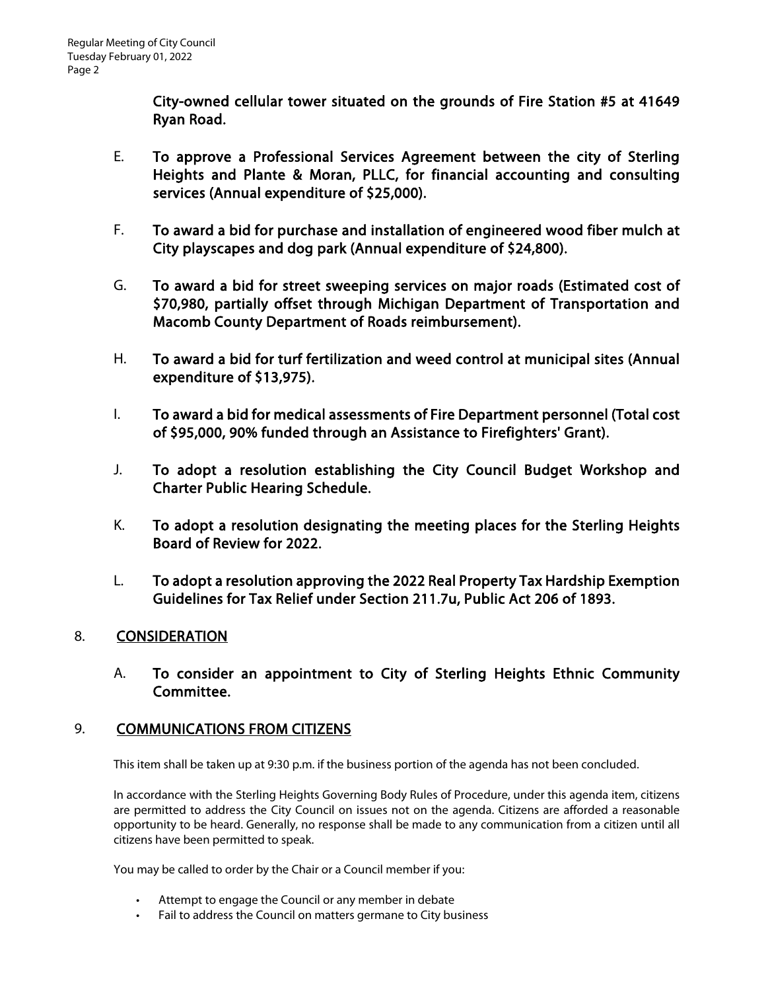City-owned cellular tower situated on the grounds of Fire Station #5 at 41649 Ryan Road.

- E. To approve a Professional Services Agreement between the city of Sterling Heights and Plante & Moran, PLLC, for financial accounting and consulting services (Annual expenditure of \$25,000).
- F. To award a bid for purchase and installation of engineered wood fiber mulch at City playscapes and dog park (Annual expenditure of \$24,800).
- G. To award a bid for street sweeping services on major roads (Estimated cost of \$70,980, partially offset through Michigan Department of Transportation and Macomb County Department of Roads reimbursement).
- H. To award a bid for turf fertilization and weed control at municipal sites (Annual expenditure of \$13,975).
- I. To award a bid for medical assessments of Fire Department personnel (Total cost of \$95,000, 90% funded through an Assistance to Firefighters' Grant).
- J. To adopt a resolution establishing the City Council Budget Workshop and Charter Public Hearing Schedule.
- K. To adopt a resolution designating the meeting places for the Sterling Heights Board of Review for 2022.
- L. To adopt a resolution approving the 2022 Real Property Tax Hardship Exemption Guidelines for Tax Relief under Section 211.7u, Public Act 206 of 1893.

## 8. CONSIDERATION

A. To consider an appointment to City of Sterling Heights Ethnic Community Committee.

## 9. COMMUNICATIONS FROM CITIZENS

This item shall be taken up at 9:30 p.m. if the business portion of the agenda has not been concluded.

In accordance with the Sterling Heights Governing Body Rules of Procedure, under this agenda item, citizens are permitted to address the City Council on issues not on the agenda. Citizens are afforded a reasonable opportunity to be heard. Generally, no response shall be made to any communication from a citizen until all citizens have been permitted to speak.

You may be called to order by the Chair or a Council member if you:

- Attempt to engage the Council or any member in debate
- Fail to address the Council on matters germane to City business